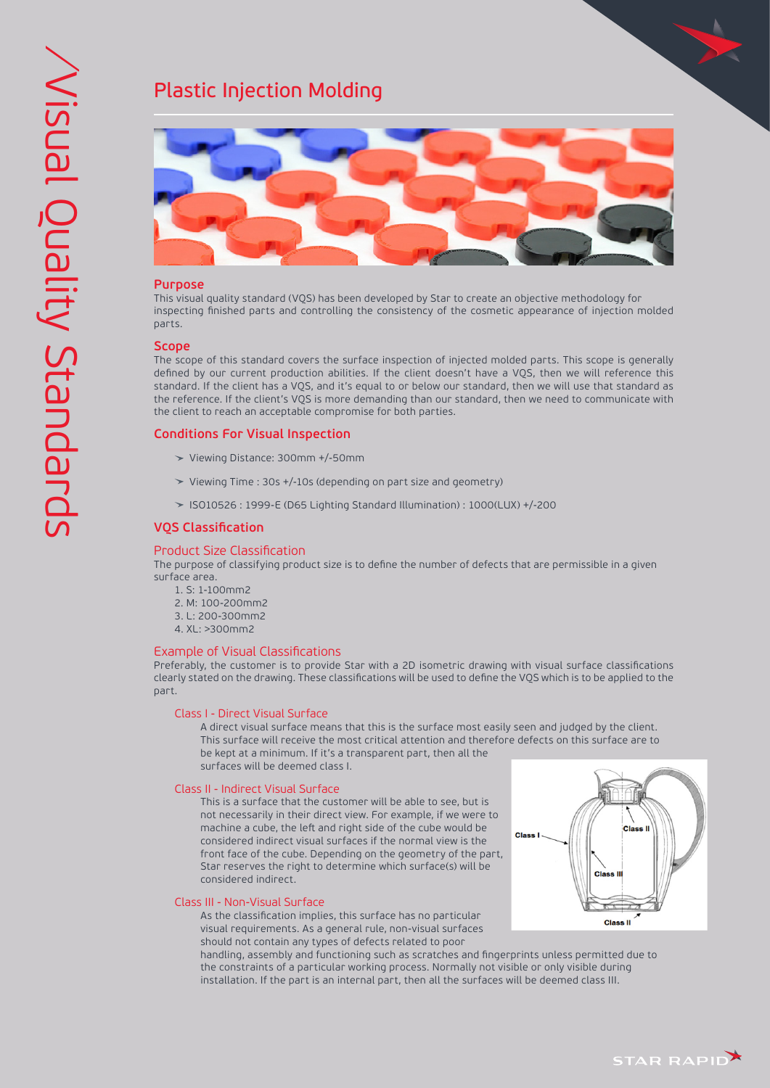# Plastic Injection Molding



## **Purpose**

This visual quality standard (VQS) has been developed by Star to create an objective methodology for inspecting finished parts and controlling the consistency of the cosmetic appearance of injection molded parts.

## **Scope**

The scope of this standard covers the surface inspection of injected molded parts. This scope is generally defined by our current production abilities. If the client doesn't have a VQS, then we will reference this standard. If the client has a VQS, and it's equal to or below our standard, then we will use that standard as the reference. If the client's VQS is more demanding than our standard, then we need to communicate with the client to reach an acceptable compromise for both parties.

## **Conditions For Visual Inspection**

- Viewing Distance: 300mm +/-50mm
- Viewing Time : 30s +/-10s (depending on part size and geometry)
- ISO10526 : 1999-E (D65 Lighting Standard Illumination) : 1000(LUX) +/-200

## **VQS Classification**

#### Product Size Classification

The purpose of classifying product size is to define the number of defects that are permissible in a given surface area.

- 1. S: 1-100mm2
- 2. M: 100-200mm2
- 3. L: 200-300mm2
- 4. XL: >300mm2

#### Example of Visual Classifications

Preferably, the customer is to provide Star with a 2D isometric drawing with visual surface classifications clearly stated on the drawing. These classifications will be used to define the VQS which is to be applied to the part.

#### Class I - Direct Visual Surface

 A direct visual surface means that this is the surface most easily seen and judged by the client. This surface will receive the most critical attention and therefore defects on this surface are to be kept at a minimum. If it's a transparent part, then all the surfaces will be deemed class I.

### Class II - Indirect Visual Surface

 This is a surface that the customer will be able to see, but is not necessarily in their direct view. For example, if we were to machine a cube, the left and right side of the cube would be considered indirect visual surfaces if the normal view is the front face of the cube. Depending on the geometry of the part, Star reserves the right to determine which surface(s) will be considered indirect.



 As the classification implies, this surface has no particular visual requirements. As a general rule, non-visual surfaces should not contain any types of defects related to poor

Class<sup>1</sup> Class<sub>1</sub> Class **Class II** 

 handling, assembly and functioning such as scratches and fingerprints unless permitted due to the constraints of a particular working process. Normally not visible or only visible during installation. If the part is an internal part, then all the surfaces will be deemed class III.